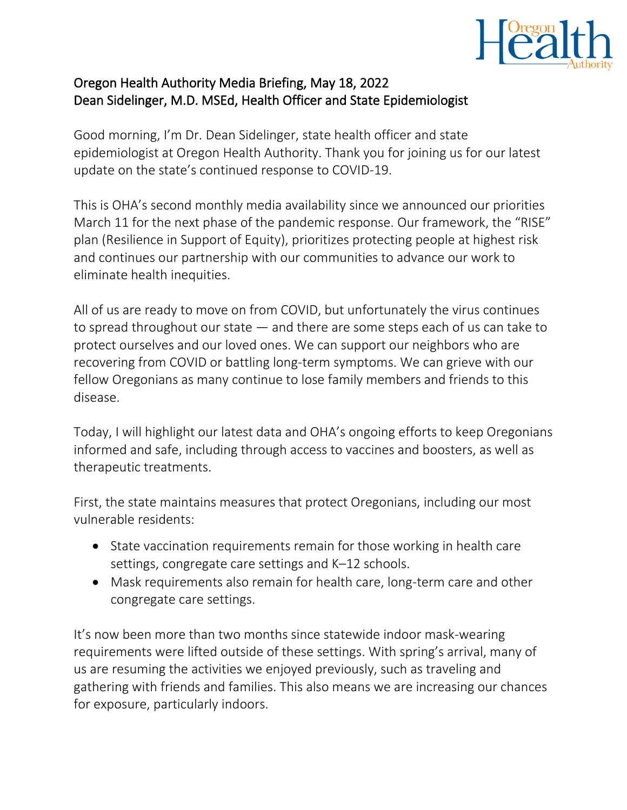

## Oregon Health Authority Media Briefing, May 18, 2022 Dean Sidelinger, M.D. MSEd, Health Officer and State Epidemiologist

Good morning, I'm Dr. Dean Sidelinger, state health officer and state epidemiologist at Oregon Health Authority. Thank you for joining us for our latest update on the state's continued response to COVID-19.

This is OHA's second monthly media availability since we announced our priorities March 11 for the next phase of the pandemic response. Our framework, the "RISE" plan (Resilience in Support of Equity), prioritizes protecting people at highest risk and continues our partnership with our communities to advance our work to eliminate health inequities.

All of us are ready to move on from COVID, but unfortunately the virus continues to spread throughout our state — and there are some steps each of us can take to protect ourselves and our loved ones. We can support our neighbors who are recovering from COVID or battling long-term symptoms. We can grieve with our fellow Oregonians as many continue to lose family members and friends to this disease.

Today, I will highlight our latest data and OHA's ongoing efforts to keep Oregonians informed and safe, including through access to vaccines and boosters, as well as therapeutic treatments.

First, the state maintains measures that protect Oregonians, including our most vulnerable residents:

- State vaccination requirements remain for those working in health care settings, congregate care settings and K–12 schools.
- Mask requirements also remain for health care, long-term care and other congregate care settings.

It's now been more than two months since statewide indoor mask-wearing requirements were lifted outside of these settings. With spring's arrival, many of us are resuming the activities we enjoyed previously, such as traveling and gathering with friends and families. This also means we are increasing our chances for exposure, particularly indoors.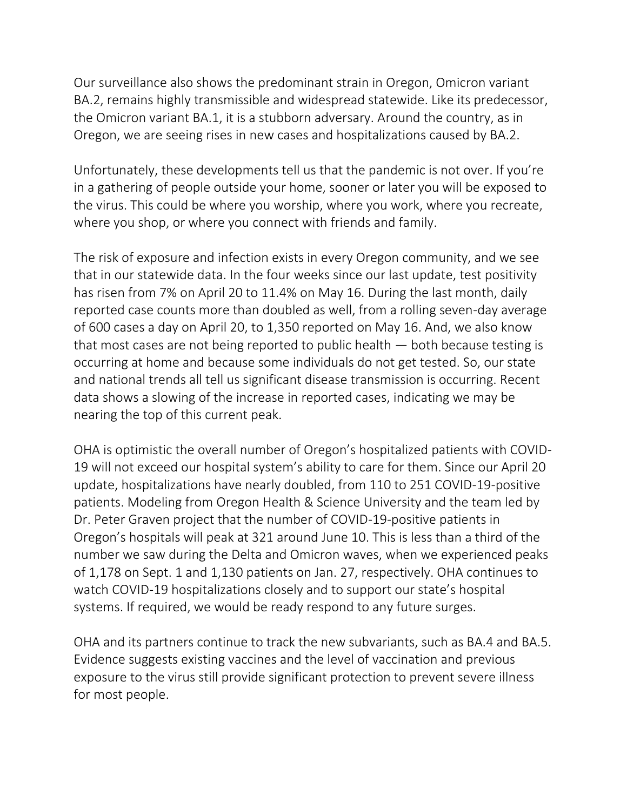Our surveillance also shows the predominant strain in Oregon, Omicron variant BA.2, remains highly transmissible and widespread statewide. Like its predecessor, the Omicron variant BA.1, it is a stubborn adversary. Around the country, as in Oregon, we are seeing rises in new cases and hospitalizations caused by BA.2.

Unfortunately, these developments tell us that the pandemic is not over. If you're in a gathering of people outside your home, sooner or later you will be exposed to the virus. This could be where you worship, where you work, where you recreate, where you shop, or where you connect with friends and family.

The risk of exposure and infection exists in every Oregon community, and we see that in our statewide data. In the four weeks since our last update, test positivity has risen from 7% on April 20 to 11.4% on May 16. During the last month, daily reported case counts more than doubled as well, from a rolling seven-day average of 600 cases a day on April 20, to 1,350 reported on May 16. And, we also know that most cases are not being reported to public health — both because testing is occurring at home and because some individuals do not get tested. So, our state and national trends all tell us significant disease transmission is occurring. Recent data shows a slowing of the increase in reported cases, indicating we may be nearing the top of this current peak.

OHA is optimistic the overall number of Oregon's hospitalized patients with COVID-19 will not exceed our hospital system's ability to care for them. Since our April 20 update, hospitalizations have nearly doubled, from 110 to 251 COVID-19-positive patients. Modeling from Oregon Health & Science University and the team led by Dr. Peter Graven project that the number of COVID-19-positive patients in Oregon's hospitals will peak at 321 around June 10. This is less than a third of the number we saw during the Delta and Omicron waves, when we experienced peaks of 1,178 on Sept. 1 and 1,130 patients on Jan. 27, respectively. OHA continues to watch COVID-19 hospitalizations closely and to support our state's hospital systems. If required, we would be ready respond to any future surges.

OHA and its partners continue to track the new subvariants, such as BA.4 and BA.5. Evidence suggests existing vaccines and the level of vaccination and previous exposure to the virus still provide significant protection to prevent severe illness for most people.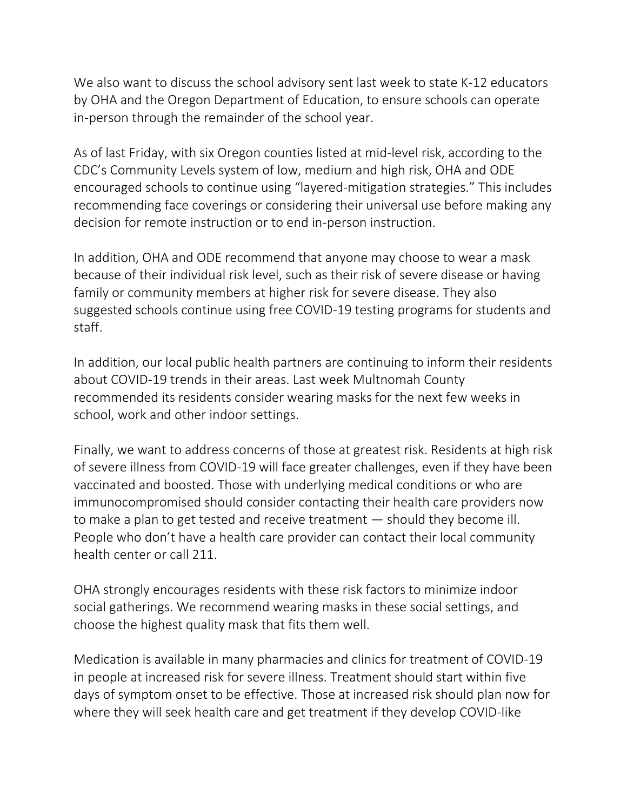We also want to discuss the school advisory sent last week to state K-12 educators by OHA and the Oregon Department of Education, to ensure schools can operate in-person through the remainder of the school year.

As of last Friday, with six Oregon counties listed at mid-level risk, according to the CDC's Community Levels system of low, medium and high risk, OHA and ODE encouraged schools to continue using "layered-mitigation strategies." This includes recommending face coverings or considering their universal use before making any decision for remote instruction or to end in-person instruction.

In addition, OHA and ODE recommend that anyone may choose to wear a mask because of their individual risk level, such as their risk of severe disease or having family or community members at higher risk for severe disease. They also suggested schools continue using free COVID-19 testing programs for students and staff.

In addition, our local public health partners are continuing to inform their residents about COVID-19 trends in their areas. Last week Multnomah County recommended its residents consider wearing masks for the next few weeks in school, work and other indoor settings.

Finally, we want to address concerns of those at greatest risk. Residents at high risk of severe illness from COVID-19 will face greater challenges, even if they have been vaccinated and boosted. Those with underlying medical conditions or who are immunocompromised should consider contacting their health care providers now to make a plan to get tested and receive treatment — should they become ill. People who don't have a health care provider can contact their local community health center or call 211.

OHA strongly encourages residents with these risk factors to minimize indoor social gatherings. We recommend wearing masks in these social settings, and choose the highest quality mask that fits them well.

Medication is available in many pharmacies and clinics for treatment of COVID-19 in people at increased risk for severe illness. Treatment should start within five days of symptom onset to be effective. Those at increased risk should plan now for where they will seek health care and get treatment if they develop COVID-like